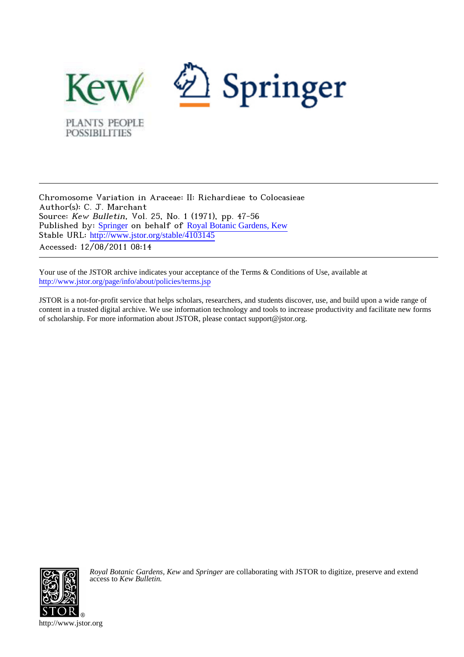

Chromosome Variation in Araceae: II: Richardieae to Colocasieae Author(s): C. J. Marchant Source: Kew Bulletin, Vol. 25, No. 1 (1971), pp. 47-56 Published by: [Springer](http://www.jstor.org/action/showPublisher?publisherCode=springer) on behalf of [Royal Botanic Gardens, Kew](http://www.jstor.org/action/showPublisher?publisherCode=kew) Stable URL: [http://www.jstor.org/stable/4103145](http://www.jstor.org/stable/4103145?origin=JSTOR-pdf) Accessed: 12/08/2011 08:14

Your use of the JSTOR archive indicates your acceptance of the Terms & Conditions of Use, available at <http://www.jstor.org/page/info/about/policies/terms.jsp>

JSTOR is a not-for-profit service that helps scholars, researchers, and students discover, use, and build upon a wide range of content in a trusted digital archive. We use information technology and tools to increase productivity and facilitate new forms of scholarship. For more information about JSTOR, please contact support@jstor.org.



*Royal Botanic Gardens, Kew* and *Springer* are collaborating with JSTOR to digitize, preserve and extend access to *Kew Bulletin.*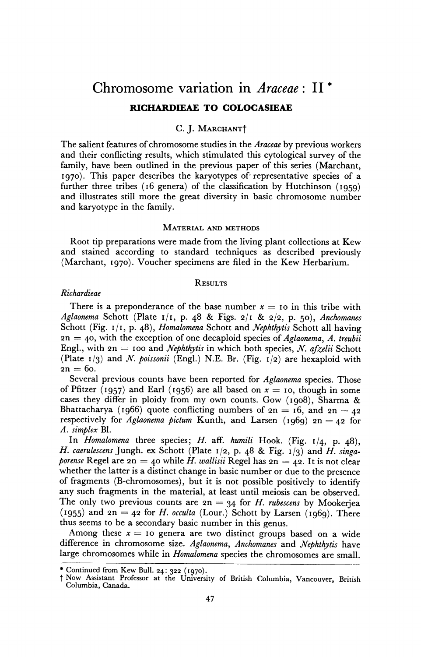# **Chromosome variation in Araceae: II \***

# **RICHARDIEAE TO COLOCASIEAE**

# **C. J. MARCHANTt**

**The salient features of chromosome studies in the Araceae by previous workers and their conflicting results, which stimulated this cytological survey of the family, have been outlined in the previous paper of this series (Marchant, I970). This paper describes the karyotypes of representative species of a**  further three tribes (16 genera) of the classification by Hutchinson (1959) **and illustrates still more the great diversity in basic chromosome number and karyotype in the family.** 

#### **MATERIAL AND METHODS**

**Root tip preparations were made from the living plant collections at Kew and stained according to standard techniques as described previously (Marchant, 1970). Voucher specimens are filed in the Kew Herbarium.** 

### **RESULTS**

#### **Richardieae**

There is a preponderance of the base number  $x = 10$  in this tribe with **Aglaonema Schott (Plate I/I, p. 48 & Figs. 2/I & 2/2, p. 50), Anchomanes Schott (Fig. I/I, p. 48), Homalomena Schott and Nephthytis Schott all having 2n = 40, with the exception of one decaploid species of Aglaonema, A. treubii**  Engl., with  $2n = 100$  and *Nephthytis* in which both species, *N. afzelii* Schott **-= (Plate I/3) and N. poissonii (Engl.) N.E. Br. (Fig. I/2) are hexaploid with**   $2n = 60$ .

**Several previous counts have been reported for Aglaonema species. Those**  of Pfitzer (1957) and Earl (1956) are all based on  $x = 10$ , though in some **cases they differ in ploidy from my own counts. Gow (1908), Sharma & Bhattacharya** (1966) quote conflicting numbers of  $2n = 16$ , and  $2n = 42$ respectively for Aglaonema pictum Kunth, and Larsen (1969)  $2n = 42$  for **A. simplex Bl.** 

**In Homalomena three species; H. aff. humili Hook. (Fig. 1/4, p. 48), H. caerulescens Jungh. ex Schott (Plate 1/2, p. 48 & Fig. 1/3) and H. singa***porense* Regel are  $2n = 40$  while *H. wallisii* Regel has  $2n = 42$ . It is not clear **whether the latter is a distinct change in basic number or due to the presence of fragments (B-chromosomes), but it is not possible positively to identify any such fragments in the material, at least until meiosis can be observed.**  The only two previous counts are  $2n = 34$  for *H. rubescens* by Mookerjea **(1955) and 2n = 42 for H. occulta (Lour.) Schott by Larsen (1969). There thus seems to be a secondary basic number in this genus.** 

Among these  $x = 10$  genera are two distinct groups based on a wide **difference in chromosome size. Aglaonema, Anchomanes and Nephthytis have large chromosomes while in Homalomena species the chromosomes are small.** 

**<sup>\*</sup>** Continued from Kew Bull. 24: 322 (1970).

**t Now Assistant Professor at the University of British Columbia, Vancouver, British Columbia, Canada.**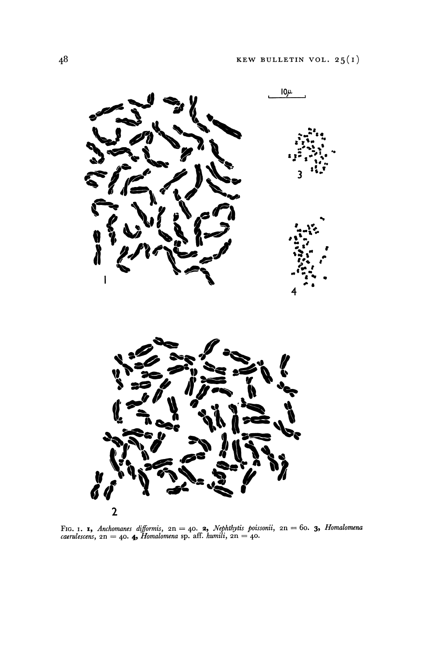

FIG. 1. **1**, Anchomanes difformis,  $2n = 40$ . **2**, Nephthytis poissonii,  $2n = 60$ . **3**, Homalomena caerulescens,  $2n = 40$ . **4** Homalomena sp. aff. humili,  $2n = 40$ .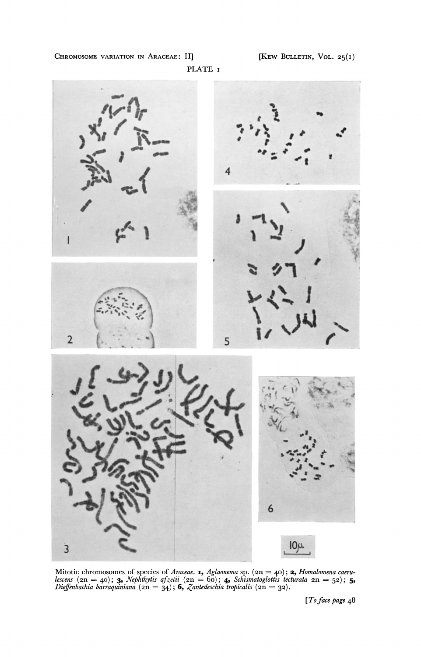**CHROMOSOME VARIATION IN ARACEAE: II]** 





**Mitotic chromosomes of species of Araceae. I, Aglaonema sp. (2n = 40); 2, Homalomena caeru**lescens  $(2n = 40)$ ; **3,** Nephthytis afzelii  $(2n = 60)$ ; **4,** Schismatoglottis tecturata  $2n = 52$ ; **5,**  $\sum_{i=1}^{n}$  $Di$ effenbachia barraquiniana  $(2n = 34)$ **; 6,** Zantedeschia tropicalis  $(2n = 32)$ **.** 

**[To face page 48**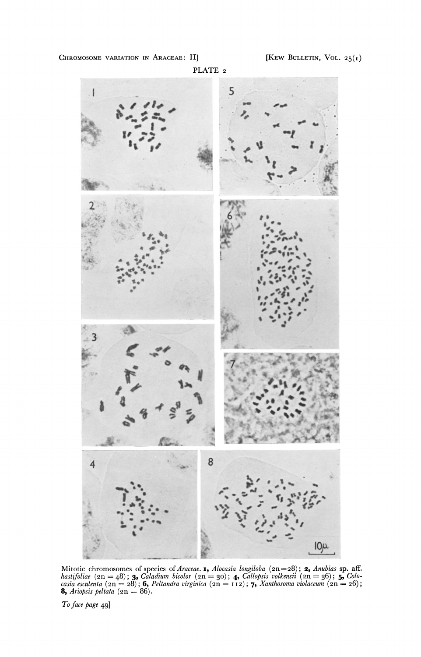CHROMOSOME VARIATION IN ARACEAE: II]





Mitotic chromosomes of species of Araceae. **1,** Alocasia longiloba ( $2n=28$ ); **2,** Anubias sp. aff.<br>hastifoliae ( $2n = 48$ ); **3,** Caladium bicolor ( $2n = 30$ ); **4,** Callopsis volkensii ( $2n = 36$ ); **5,** Colocasia esculenta (

To face page 49]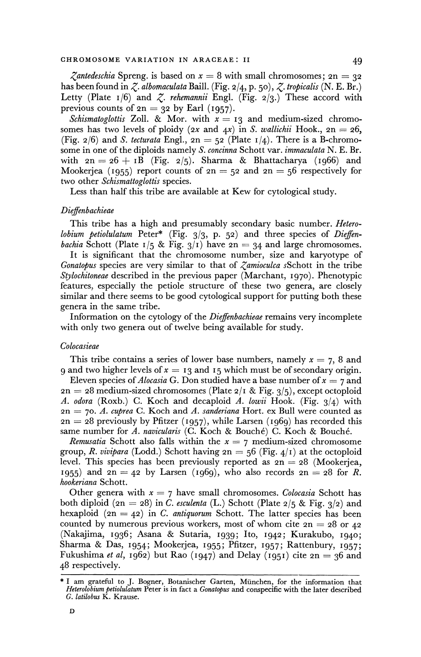*Zantedeschia* Spreng. is based on  $x = 8$  with small chromosomes;  $2n = 32$ **has been found in Z. albomaculata Baill. (Fig. 2/4, p. 50), Z. tropicalis (N. E. Br.)**  Letty (Plate  $I/6$ ) and  $Z$ . *rehemannii* Engl. (Fig. 2/3.) These accord with previous counts of  $2n = 32$  by Earl  $(1957)$ .

Schismatoglottis Zoll. & Mor. with  $x = 13$  and medium-sized chromosomes has two levels of ploidy  $(2x \text{ and } 4x)$  in S. wallichii Hook.,  $2n = 26$ , (Fig.  $2/6$ ) and *S. tecturata* Engl.,  $2n = 52$  (Plate  $1/4$ ). There is a B-chromo**some in one of the diploids namely S. concinna Schott var. immaculata N. E. Br.**  with  $2n = 26 + 1B$  (Fig. 2/5). Sharma & Bhattacharya (1966) and Mookerjea (1955) report counts of  $2n = 52$  and  $2n = 56$  respectively for **two other Schismattoglottis species.** 

**Less than half this tribe are available at Kew for cytological study.** 

### **Dieffenbachieae**

**This tribe has a high and presumably secondary basic number. Heterolobium petiolulatum Peter\* (Fig. 3/3, P. 52) and three species of Dieffen***bachia* Schott (Plate  $1/5$  & Fig.  $3/1$ ) have  $2n = 34$  and large chromosomes.

**It is significant that the chromosome number, size and karyotype of Gonatopus species are very similar to that of Zamioculca sSchott in the tribe Stylochitoneae described in the previous paper (Marchant, 1970). Phenotypic features, especially the petiole structure of these two genera, are closely similar and there seems to be good cytological support for putting both these genera in the same tribe.** 

**Information on the cytology of the Dieffenbachieae remains very incomplete with only two genera out of twelve being available for study.** 

#### **Colocasieae**

**This tribe contains a series of lower base numbers, namely x = 7, 8 and 9 and two higher levels of**  $x = 13$  **and 15 which must be of secondary origin.** 

Eleven species of *Alocasia* G. Don studied have a base number of  $x = 7$  and **2n = 28 medium-sized chromosomes (Plate 2/I & Fig. 3/5), except octoploid A. odora (Roxb.) C. Koch and decaploid A. lowii Hook. (Fig. 3/4) with 2n - 70. A. cuprea C. Koch and A. sanderiana Hort. ex Bull were counted as 2n = 28 previously by Pfitzer (1957), while Larsen (1969) has recorded this**  same number for A. navicularis (C. Koch & Bouché) C. Koch & Bouché.

*Remusatia* Schott also falls within the  $x = 7$  medium-sized chromosome group, *R. vivipara* (Lodd.) Schott having  $2n = 56$  (Fig.  $4/1$ ) at the octoploid level. This species has been previously reported as  $2n = 28$  (Mookerjea, 1955) and  $2n = 42$  by Larsen (1969), who also records  $2n = 28$  for R. **hookeriana Schott.** 

Other genera with  $x = 7$  have small chromosomes. Colocasia Schott has **both diploid (2n 28) in C. esculenta (L.) Schott (Plate 2/5 & Fig. 3/2) and**  hexaploid  $(2n = 42)$  in C. antiquorum Schott. The latter species has been counted by numerous previous workers, most of whom cite  $2n = 28$  or  $42$ **(Nakajima, 1936; Asana & Sutaria, 1939; Ito, I942; Kurakubo, I940; Sharma & Das, I954; Mookerjea, I955; Pfitzer, I957; Rattenbury, I957;**  Fukushima *et al*, 1962) but Rao  $(1947)$  and Delay  $(1951)$  cite  $2n = 36$  and **48 respectively.** 

**<sup>\*</sup> I am grateful to J. Bogner, Botanischer Garten, Miinchen, for the information that Heterolobium petiolulatum Peter is in fact a Gonatopus and conspecific with the later described G. latilobus K. Krause.**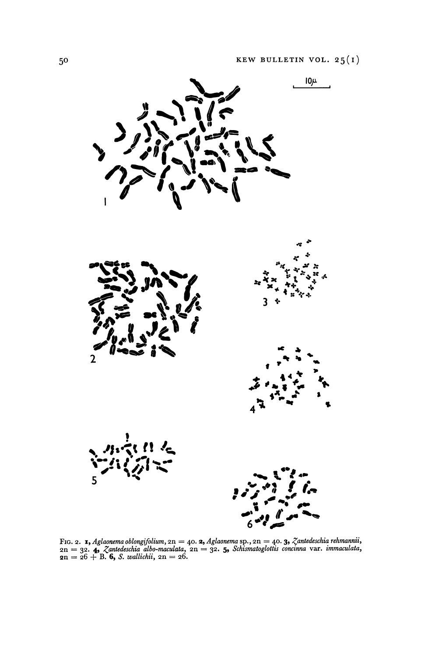

Fig. 2. **1,** Aglaonema oblongifolium,  $2n = 40$ . **2,** Aglaonema sp.,  $2n = 40$ . **3,** Zantedeschia rehmannii,  $2n = 32$ . **4,** Zantedeschia albo-maculata,  $2n = 32$ . **5,** Schismatoglottis concinna var. immaculata,  $2n = 26 + B$ .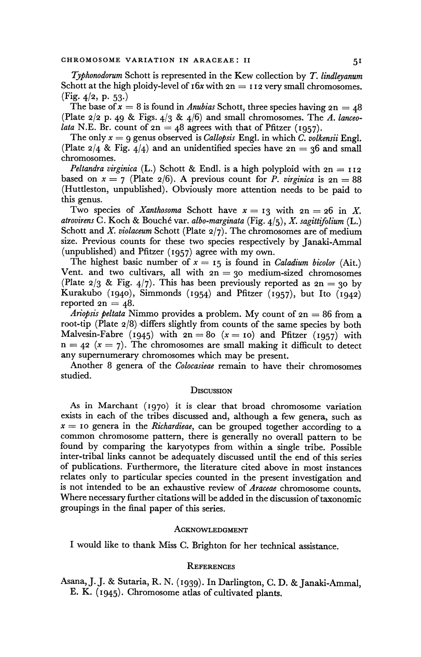**Typhonodorum Schott is represented in the Kew collection by T. lindleyanum**  Schott at the high ploidy-level of  $\mathbf{16x}$  with  $\mathbf{2n} = \mathbf{112}$  very small chromosomes. (Fig. 4/2, p. 53.)

The base of  $x = 8$  is found in *Anubias* Schott, three species having  $2n = 48$ **(Plate 2/2 p. 49 & Figs. 4/3 & 4/6) and small chromosomes. The A. lanceo***lata* N.E. Br. count of  $2n = 48$  agrees with that of Pfitzer (1957).

The only  $x = 9$  genus observed is *Callopsis* Engl. in which *C. volkensii* Engl. (Plate  $2/4$  & Fig.  $4/4$ ) and an unidentified species have  $2n = 36$  and small **chromosomes.** 

Peltandra virginica (L.) Schott & Endl. is a high polyploid with  $2n = 112$ based on  $x = 7$  (Plate  $\frac{2}{6}$ ). A previous count for P. *virginica* is  $2n = 88$ **(Huttleston, unpublished). Obviously more attention needs to be paid to this genus.** 

Two species of *Xanthosoma* Schott have  $x = 13$  with  $2n = 26$  in *X*. **atrovirens C. Koch & Bouch6 var. albo-marginata (Fig. 4/5), X. sagittifolium (L.) Schott and X. violaceum Schott (Plate 2/7). The chromosomes are of medium size. Previous counts for these two species respectively by Janaki-Ammal (unpublished) and Pfitzer (1957) agree with my own.** 

The highest basic number of  $x = 15$  is found in *Caladium bicolor* (Ait.) Vent. and two cultivars, all with  $2n = 30$  medium-sized chromosomes (Plate  $2/3$  & Fig.  $4/7$ ). This has been previously reported as  $2n = 30$  by **Kurakubo (1940), Simmonds (1954) and Pfitzer (1957), but Ito (1942)**  reported  $2n = 48$ .

**Ariopsis peltata Nimmo provides a problem. My count of 2n = 86 from a root-tip (Plate 2/8) differs slightly from counts of the same species by both**  Malvesin-Fabre (1945) with  $2n = 80$  ( $x = 10$ ) and Pfitzer (1957) with  $n = 42$  ( $x = 7$ ). The chromosomes are small making it difficult to detect **any supernumerary chromosomes which may be present.** 

**Another 8 genera of the Colocasieae remain to have their chromosomes studied.** 

## **DISCusSION**

**As in Marchant (1970) it is clear that broad chromosome variation exists in each of the tribes discussed and, although a few genera, such as x = Io genera in the Richardieae, can be grouped together according to a common chromosome pattern, there is generally no overall pattern to be found by comparing the karyotypes from within a single tribe. Possible inter-tribal links cannot be adequately discussed until the end of this series of publications. Furthermore, the literature cited above in most instances relates only to particular species counted in the present investigation and is not intended to be an exhaustive review of Araceae chromosome counts. Where necessary further citations will be added in the discussion of taxonomic groupings in the final paper of this series.** 

#### **ACKNOWLEDGMENT**

**I would like to thank Miss C. Brighton for her technical assistance.** 

#### **REFERENCES**

**Asana, J. J. & Sutaria, R. N. (1i939). In Darlington, C. D. & Janaki-Ammal, E. K. (i945). Chromosome atlas of cultivated plants.**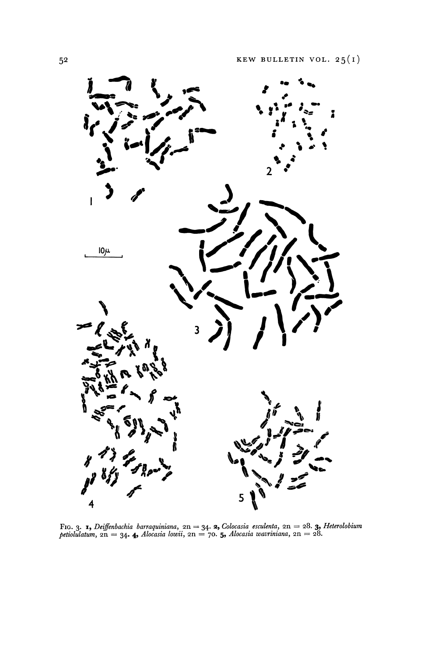

Fig. 3. **1**, *Deiffenbachia barraquiniana*,  $2n = 34$ . **2**, *Colocasia esculenta*,  $2n = 28$ . **3**, *Heterolobium petiolulatum*,  $2n = 34$ . **4**, *Alocasia lowii*,  $2n = 70$ . **5**, *Alocasia wavriniana*,  $2n = 28$ .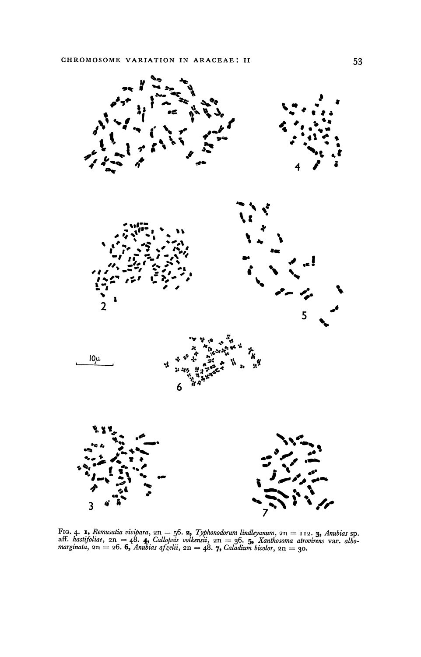

FiG. 4. **1,** Remusatia vivipara,  $2n = 56$ . **2,** Typhonodorum lindleyanum,  $2n = 112$ . **3,** Anubias sp.<br>aff. hastifoliae,  $2n = 48$ . **4,** Callopsis volkensii,  $2n = 36$ . **5,** Xanthosoma atrovirens var. albo-<br>marginata,  $2n = 2$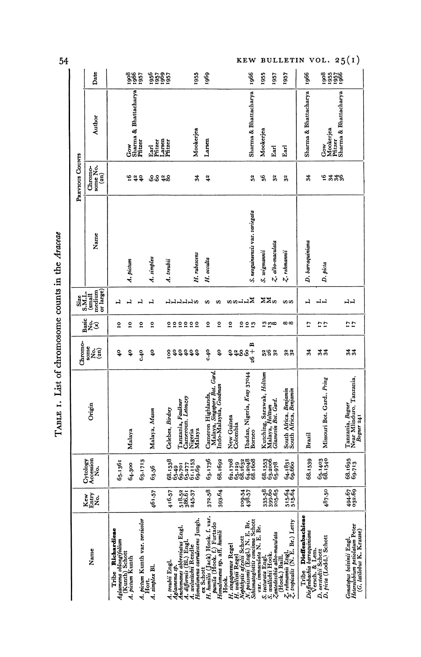| I |
|---|
|---|

**KEW BULLETIN VOL. 25(1)**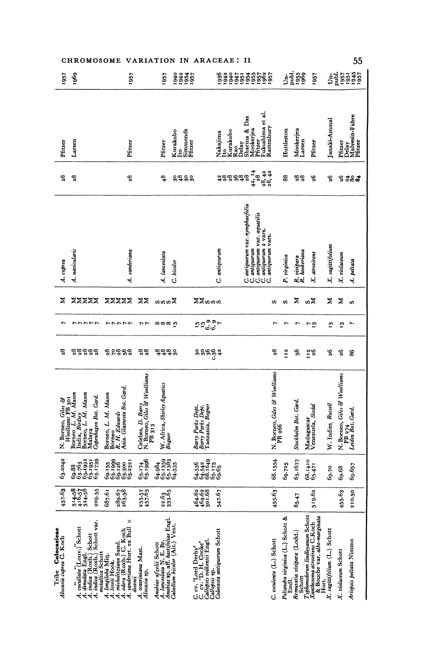|                                                                                                                                           | CHROMOSOME VARIATION IN ARACEAE: II                                                                                                                                                                                                                |                                                                                                                      |                                                                                                         |                                                                                                                                                                                                                                                                                                                                                                                                                                                                                                                               |                                        |                                                                    |                                                                                                                                                          |                    |                                                             | 55                                                                                                                                                                                                                                                                                                                                                                                                                                                             |
|-------------------------------------------------------------------------------------------------------------------------------------------|----------------------------------------------------------------------------------------------------------------------------------------------------------------------------------------------------------------------------------------------------|----------------------------------------------------------------------------------------------------------------------|---------------------------------------------------------------------------------------------------------|-------------------------------------------------------------------------------------------------------------------------------------------------------------------------------------------------------------------------------------------------------------------------------------------------------------------------------------------------------------------------------------------------------------------------------------------------------------------------------------------------------------------------------|----------------------------------------|--------------------------------------------------------------------|----------------------------------------------------------------------------------------------------------------------------------------------------------|--------------------|-------------------------------------------------------------|----------------------------------------------------------------------------------------------------------------------------------------------------------------------------------------------------------------------------------------------------------------------------------------------------------------------------------------------------------------------------------------------------------------------------------------------------------------|
| 1969<br>1957                                                                                                                              | 1957                                                                                                                                                                                                                                               | 1957<br>1943<br>1954<br>1957                                                                                         |                                                                                                         |                                                                                                                                                                                                                                                                                                                                                                                                                                                                                                                               |                                        | $\begin{array}{c}\n 1 \\  1 \\  2 \\  3 \\  5 \\  6\n \end{array}$ | <b>1957</b>                                                                                                                                              |                    |                                                             | $\begin{array}{c} \mathbf{1} \\ \mathbf{2} \\ \mathbf{3} \\ \mathbf{5} \\ \mathbf{6} \\ \mathbf{7} \\ \mathbf{8} \\ \mathbf{9} \\ \mathbf{1} \\ \mathbf{1} \\ \mathbf{2} \\ \mathbf{3} \\ \mathbf{5} \\ \mathbf{6} \\ \mathbf{7} \\ \mathbf{8} \\ \mathbf{9} \\ \mathbf{1} \\ \mathbf{1} \\ \mathbf{1} \\ \mathbf{1} \\ \mathbf{1} \\ \mathbf{1} \\ \mathbf{1} \\ \mathbf{1} \\ \mathbf{1} \\ \mathbf{1} \\ \mathbf{1} \\ \mathbf{1} \\ \mathbf{1} \\ \mathbf$ |
| Larsen<br>Pfitzer                                                                                                                         | Pfitzer                                                                                                                                                                                                                                            | Kurakubo<br>Pfitzer<br>Ito                                                                                           | Simmonds<br>Pfitzer<br>Kurakubo<br>Nakajima<br>Ito<br>3                                                 | Fukushima et al.<br>Rattenbury<br>Sharma & Das<br>Mookerjea<br>Pfitzer<br>Rao<br>Delay                                                                                                                                                                                                                                                                                                                                                                                                                                        | Huttleston                             | Mookerjea<br>Larsen                                                | Pfitzer                                                                                                                                                  | Janaki-Ammal       | Pfitzer                                                     | Delay<br>Malvesin-Fabre<br>Pfitzer                                                                                                                                                                                                                                                                                                                                                                                                                             |
| $\mathbf{28}$<br>$\mathbf{e}^{\mathbf{g}}$                                                                                                | $\boldsymbol{3}$                                                                                                                                                                                                                                   | \$<br>೫ಕೆ ೪೪                                                                                                         | 488                                                                                                     | $\begin{array}{c} 42,14 \\ 28,42 \\ 28,42 \end{array}$<br>ಹಿಕೆಪೆ                                                                                                                                                                                                                                                                                                                                                                                                                                                              | 88                                     | 28                                                                 | 98                                                                                                                                                       | Ş,                 | $\mathbf{5}^{\mathbf{6}}$                                   | ಸೆಹಿತ                                                                                                                                                                                                                                                                                                                                                                                                                                                          |
| A. navicularis<br>A. cuprea                                                                                                               | A. sanderiana                                                                                                                                                                                                                                      | A. lanceolata<br>C. bicolor                                                                                          | C. antiqourum                                                                                           | antiquorum var. nymphaefolia<br>$\begin{bmatrix} C & \mathit{an} \mathit{i} \mathit{quorm} \ \text{var} \ \text{var} \ \text{var} \ \text{var} \ \text{var} \ \text{var} \ \text{var} \ \text{var} \ \text{var} \ \text{var} \ \text{var} \ \text{var} \ \text{var} \ \text{var} \ \text{var} \ \text{var} \ \text{var} \ \text{var} \ \text{var} \ \text{var} \ \text{var} \ \text{var} \ \text{var} \ \text{var} \ \text{var} \ \text{var} \ \text{var} \ \text{var} \ \text{var} \ \text{var} \ \text{var} \ \text{var} \$ | P. virginica                           | R. vivipara<br>R. hookeriana                                       | X. atrovirens                                                                                                                                            | X. sagittifolium   | X. violaceum                                                | A. peltata                                                                                                                                                                                                                                                                                                                                                                                                                                                     |
| z<br><b>ZZZZZ</b>                                                                                                                         | <b>ZZZZZ</b><br>ΣX                                                                                                                                                                                                                                 | anna                                                                                                                 | ≍≍ທທ                                                                                                    | S                                                                                                                                                                                                                                                                                                                                                                                                                                                                                                                             | S                                      | Z                                                                  | ຜ⊠                                                                                                                                                       | z                  | ×                                                           | $\boldsymbol{\omega}$                                                                                                                                                                                                                                                                                                                                                                                                                                          |
| r                                                                                                                                         | ファファファ ファファファ ファ                                                                                                                                                                                                                                   | ထထထ ဂ္                                                                                                               | ¤ ¤ິດື້<br>¤ ¤ິດື້                                                                                      | L.                                                                                                                                                                                                                                                                                                                                                                                                                                                                                                                            | $\overline{ }$                         | $\overline{r}$                                                     | $\overline{5}$                                                                                                                                           | 2                  | $\mathbf{r}_3$                                              | $\sim$                                                                                                                                                                                                                                                                                                                                                                                                                                                         |
| 28<br><b>aaaaa</b>                                                                                                                        | ಜೆ ರಜಿ ಕೆಜೆ<br>28                                                                                                                                                                                                                                  | ಕೆಕೆಕೆ ೪                                                                                                             | ខ្លួនខ្លួង                                                                                              | 28                                                                                                                                                                                                                                                                                                                                                                                                                                                                                                                            | 112                                    | \$6                                                                | I12<br>26                                                                                                                                                | 98                 | 96                                                          | 88                                                                                                                                                                                                                                                                                                                                                                                                                                                             |
| N. Borneo, Giles &<br>Woolliams PB 301<br>Borneo L., M. Mason<br>India, Birdsey<br>Borneo, L. M. Mason<br>Malaya<br>Copenhagen Bot. Gard. | Borneo<br>R. H. Edwards<br>Asia. Glasnevin Bot. Gard.<br>Borneo, L. M. Mason                                                                                                                                                                       | Celebes, D. Barry<br>N. Borneo, Giles & Woolliams<br>PB 313<br>W. Africa, Shirley Aquatics<br>Bogner                 | Bary Parks Dept.<br>Bary Parks Dept.<br>Tanzania, Bogner                                                |                                                                                                                                                                                                                                                                                                                                                                                                                                                                                                                               | N. Borneo, Giles & Woolliams<br>PB 266 | Stockholm Bot. Gard.                                               | Madagascar<br>Venezuela, Siedal                                                                                                                          | W. Indies, Russell | N. Borneo, Giles & Woolliams<br>PB 274<br>Leiden Bot. Gard. |                                                                                                                                                                                                                                                                                                                                                                                                                                                                |
| 63.2042<br>$69.38$<br>$69.763$<br>$69.1991$<br>$69.1991$<br>$69.1739$                                                                     | 69.155<br>69.1999<br>69.380<br>69.331                                                                                                                                                                                                              | 65.174<br>63.1996<br>$64.984$<br>$65.1359$<br>$65.1383$<br>$64.535$                                                  | $64.536$<br>$64.542$<br>$66.175$<br>$65.175$<br>$69.65$                                                 | 68.1554                                                                                                                                                                                                                                                                                                                                                                                                                                                                                                                       | 69.725                                 | 63.1677                                                            | $68.1410$<br>$65.471$                                                                                                                                    | 69.70              | 69.68                                                       | 69.657                                                                                                                                                                                                                                                                                                                                                                                                                                                         |
| 457.63<br>$\frac{514.58}{416.57}$<br>209.55                                                                                               | 687.61<br>253.57<br>457.63<br>289.67<br>263.58                                                                                                                                                                                                     | 22.63                                                                                                                | $\begin{array}{c} 464.62 \\ 464.62 \\ 301.68 \end{array}$<br>547.67                                     | 455.63                                                                                                                                                                                                                                                                                                                                                                                                                                                                                                                        |                                        | $85 - 47$                                                          | 519.62                                                                                                                                                   |                    | 455-63                                                      | 210.50                                                                                                                                                                                                                                                                                                                                                                                                                                                         |
| Tribe <b>Colocasieae</b><br>Alocasia cupra C. Koch                                                                                        | A. cuellata" $(Louv)'$ Schott<br>A. dematata (Roxb.) Schott<br>A. imita (Roxb.) Schott var.<br>A. imitaliza Schott var.<br>A. ionii Hook.<br>A. ionii Hook.<br>A. ionii iizma Schott<br>A. sanderiana Mast.<br>A. sanderiana Mast.<br>Alocatia sp. | Ambias afzelii Schott<br>A. laneolata N. E. Br.<br>Ambias sp. aff. hastifoliae Engl.<br>Caladium biodor (Ait.) Vent. | C. cv. 'Lord Derby'<br>C. cv. 'D. H. Cooke'<br>Callopsis volkersii Engl.<br>Callopsis onlieruntm Schott | C. esculenta (L.) Schott                                                                                                                                                                                                                                                                                                                                                                                                                                                                                                      | Peltandra virginica (L.) Schott &      | Remusatia vivipara (Lodd.)<br>End.                                 | TSchort<br><i>Xphlusoma unitrip</i> e CLS.com<br><i>Xphlusoma unitripe</i> CLS.com<br>& Bouche var. <i>albo-marginala</i><br>X. sagitifotium (L.) Schott |                    | X. violaceum Schott                                         | Ariopsis peltata Nimmo                                                                                                                                                                                                                                                                                                                                                                                                                                         |